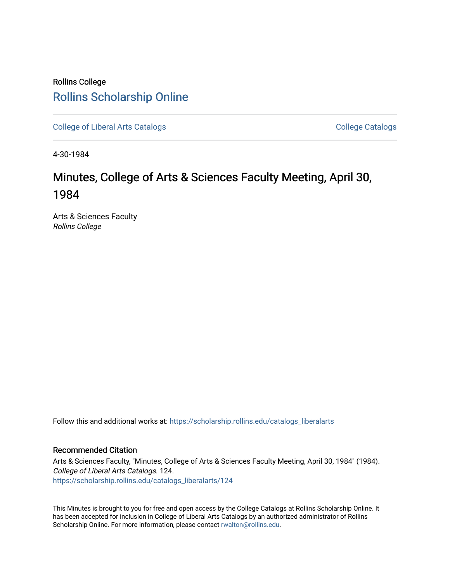## Rollins College [Rollins Scholarship Online](https://scholarship.rollins.edu/)

[College of Liberal Arts Catalogs](https://scholarship.rollins.edu/catalogs_liberalarts) [College Catalogs](https://scholarship.rollins.edu/catalogs) College Catalogs College Catalogs

4-30-1984

# Minutes, College of Arts & Sciences Faculty Meeting, April 30, 1984

Arts & Sciences Faculty Rollins College

Follow this and additional works at: [https://scholarship.rollins.edu/catalogs\\_liberalarts](https://scholarship.rollins.edu/catalogs_liberalarts?utm_source=scholarship.rollins.edu%2Fcatalogs_liberalarts%2F124&utm_medium=PDF&utm_campaign=PDFCoverPages) 

### Recommended Citation

Arts & Sciences Faculty, "Minutes, College of Arts & Sciences Faculty Meeting, April 30, 1984" (1984). College of Liberal Arts Catalogs. 124. [https://scholarship.rollins.edu/catalogs\\_liberalarts/124](https://scholarship.rollins.edu/catalogs_liberalarts/124?utm_source=scholarship.rollins.edu%2Fcatalogs_liberalarts%2F124&utm_medium=PDF&utm_campaign=PDFCoverPages) 

This Minutes is brought to you for free and open access by the College Catalogs at Rollins Scholarship Online. It has been accepted for inclusion in College of Liberal Arts Catalogs by an authorized administrator of Rollins Scholarship Online. For more information, please contact [rwalton@rollins.edu](mailto:rwalton@rollins.edu).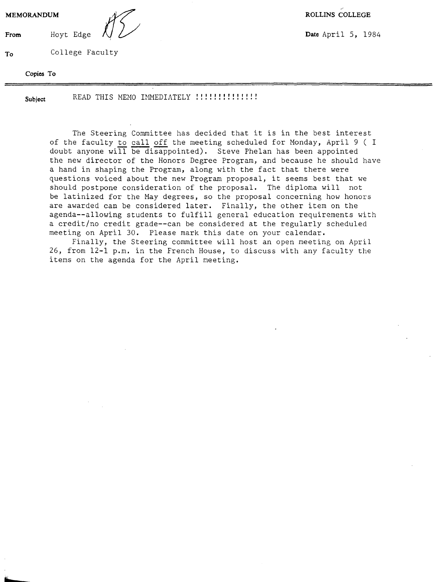**MEMORANDUM ROLLINS COLLEGE**<br>**From** Hoyt Edge  $\sqrt{2}$  **Date** April 5, 19

**To** College Faculty

**Copies To** 

**From** Hoyt Edge  $\bigwedge$   $\bigvee$ 

**Subject** READ THIS MEMO IMMEDIATELY I I I I I I I I I I I I I I ..............

The Steering Committee has decided that it is in the best interest of the faculty to call off the meeting scheduled for Monday, April 9 ( I doubt anyone **will** be disappointed). Steve Phelan has been appointed the new director of the Honors Degree Program, and because he should have a hand in shaping the Program, along with the fact that there were questions voiced about the new Program proposal, it seems best that we should postpone consideration of the proposal. The diploma will not be latinized for the May degrees, so the proposal concerning how honors are awarded can be considered later. Finally, the other item on the agenda--allowing students to fulfill general education requirements with a credit/no credit grade--can be considered at the regularly scheduled meeting on April 30. Please mark this date on your calendar,

Finally, the Steering committee will host an open meeting on April 26, from 12-1 p.m. in the French House, to discuss with any faculty the items on the agenda for the April meeting,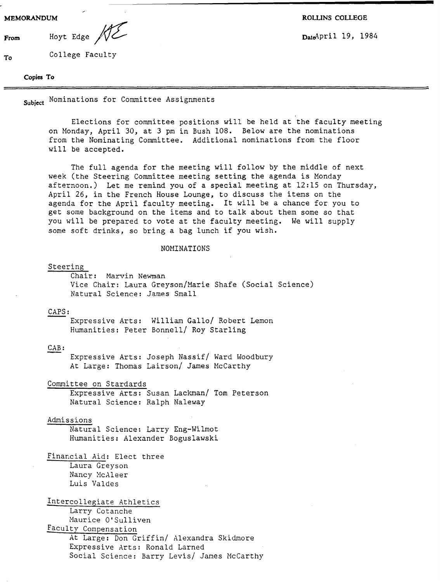**To** 

From Hoyt Edge  $\sqrt{2}$  **Date Date Date** 2011 19, 1984

**MEMORANDUM ROLLINS COLLEGE** 

College Faculty

#### **Copies To**

Nominations for Committee Assignments **Subject** 

Elections for committee positions will be held at the faculty meeting on Monday, April 30, at 3 pm in Bush 108. Below are the nominations from the Nominating Committee. Additional nominations from the floor will be accepted.

The full agenda for the meeting will follow by the middle of next week (the Steering Committee meeting setting the agenda is Monday afternoon.) Let me remind you of a special meeting at 12:15 on Thursday, April 26, in the French House Lounge, to discuss the items on the agenda for the April faculty meeting. It will be a chance for you to get some background on the items and to talk about them some so that you will be prepared to vote at the faculty meeting. We will supply some soft drinks, so bring a bag lunch if you wish.

#### NOMINATIONS

Steering

Chair: Marvin Newman Vice Chair: Laura Greyson/Marie Shafe (Social Science) Natural Science: James Small

#### CAPS:

Expressive Arts: William Gallo/ Robert Lemon Humanities: Peter Bonnell/ Roy Starling

#### CAB:

Expressive Arts: Joseph Nassif/ Ward Woodbury At Large: Thomas Lairson/ James McCarthy

Committee on Stardards

Expressive Arts: Susan Lackman/ Tom Peterson Natural Science: Ralph Naleway

#### Admissions

Natural Science: Larry Eng-Wilmot Humanities: Alexander Boguslawski

Financial Aid: Elect three Laura Greyson Nancy McAleer Luis Valdes

## Intercollegiate Athletics

Larry Cotanche Maurice O'Sulliven

Faculty Compensation

At Large: Don Griffin/ Alexandra Skidmore Expressive Arts: Ronald Larned Social Science: Barry Levis/ James McCarthy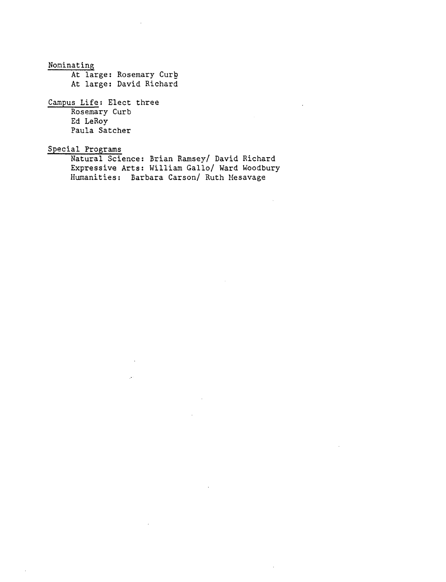Noninating At large: Rosemary Curb At large: David Richard

Campus Life: Elect three Rosemary Curb Ed LeRoy Paula Satcher

Special Programs

Natural Science: Brian Ramsey/ David Richard Expressive Arts: William Gallo/ Ward Woodbury Hwnanities: Barbara Carson/ Ruth Hesavage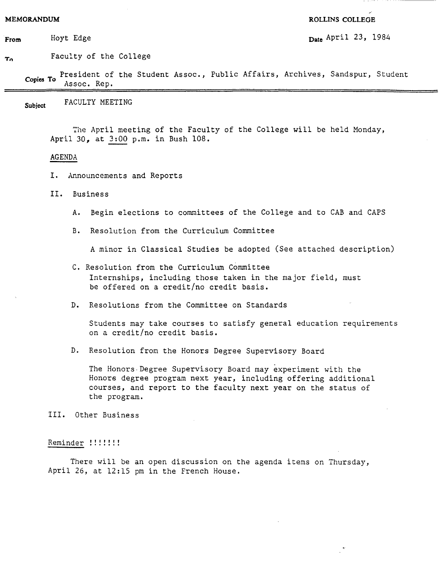#### **MEMORANDUM ROLLINS COLLEGE**

**From** Hoyt Edge **Date** April 23, 1984 Hoyt Edge

**To**  Faculty of the College

President of the Student Assoc., Public Affairs, Archives, Sandspur, Student **Copies To** Assoc. Rep.

**Subject** FACULTY MEETING

The April meeting of the Faculty of the College will be held Monday, April *30,* at 3:00 p.m. in Bush 108.

#### AGENDA

- I. Announcements and Reports
- II. Business
	- A. Begin elections to committees of the College and to CAB and CAPS
	- B. Resolution from the Curriculum Committee

A minor in Classical Studies be adopted (See attached description)

- C. Resolution from the Curriculum Committee Internships, including those taken in the major field, must be offered on a credit/no credit basis.
- D. Resolutions from the Committee on Standards

Students may take courses to satisfy general education requirements on a credit/no credit basis.

D. Resolution from the Honors Degree Supervisory Board

The Honors-Degree Supervisory Board may experiment with the Honors degree program next year, including offering additional courses, and report to the faculty next year on the status of the program.

III. Other Business

#### Reminder !!!!!!!

There will be an open discussion on the agenda items on Thursday, April 26, at 12:15 pm in the French House.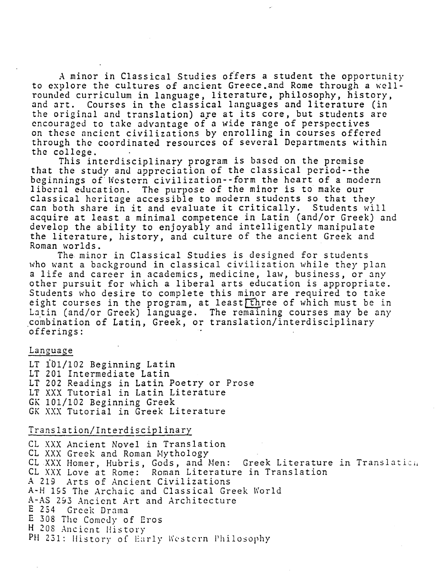A minor in Classical Studies offers a student the opportunity to explore the cultures of ancient Greece. and Rome through a wellrounded curriculum in language, literature, philosophy, history, and art. Courses in the classical languages and literature (in the original and translation) are at its core, but students are encouraged to take advantage of a wide range of perspectives on these nncicnt civilizations by enrolling in courses offered through the coordinated resources of several Departments within the college.

This interdisciplinary program is based on the premise that the study and appreciation of the classical pcriod--the beginnings of Western civilization--form the heart of a modern liberal education. The purpose of the minor is to make our classical heritage accessible to modern students so that they can both share in it and evaluate it critically. Students will acquire at least a minimal competence in Latin (and/or Greek) and develop the ability to enjoyably and intelligently manipulate the literature, history, and culture of the ancient Greek and Roman worlds.

The. minor in Classical Studies is designed for students who want a background in classical civilization while they plan a life and career in academics, medicine, law, business, or any other pursuit for which a liberal arts education is appropriate. Students who desire to complete this minor are required to take eight courses in the program, at least three of which must be in Latin (and/or Greek) language. The remaining courses may be any combination of Latin, Greek, or translation/interdisciplinary offerings:

## Language

LT iOl/102 Beginning Latin LT 201 Intermediate Latin LT 202 Readings in Latin Poetry or Prose LT XXX Tutorial in Latin Literature GK 101/102 Beginning Greek GK XXX Tutorial in Greek Literature

#### Translation/Interdisciplinary

CL XXX Ancient Novel in Translation CL XXX Greek and Roman Mythology CL XXX Homer, Hubris, Gods, and Men: Greek Literature in Translatien CL XXX Love at Rome: Roman Literature in Translation *<sup>A</sup>*219 Arts of Ancient Civilizations A-H 195 The Archaic and Classical Greek World A-AS 293 Ancient Art and Architecture E 254 Greek Drama E 308 The Comedy of Eros H 208 Ancient History PH 231: History of Early Western Philosophy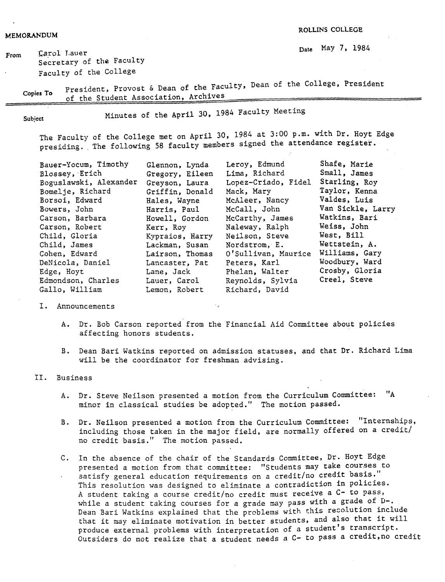**ROLLINS COLLEGB** 

**From Carol Lauer Cancel T, 2008 Date May 7, 1984** Secretary of the Faculty Faculty of the College

**Copies To**  President, Provost & Dean of the Faculty, Dean of the College, President of the Student Association, Archives

Subject

Minutes of the April 30, 1984 Faculty Meeting

The Faculty of the College met on April 30, 1984 at 3:00 p.m. with Dr. Hoyt Edge presiding. The following 58 faculty members signed the attendance register.

| Bauer-Yocum, Timothy   | Glennon, Lynda  | Leroy, Edmund       | Shafe, Marie      |
|------------------------|-----------------|---------------------|-------------------|
| Blossey, Erich         | Gregory, Eileen | Lima, Richard       | Small, James      |
| Boguslawski, Alexander | Greyson, Laura  | Lopez-Criado, Fidel | Starling, Roy     |
| Bomelje, Richard       | Griffin, Donald | Mack, Mary          | Taylor, Kenna     |
| Borsoi, Edward         | Hales, Wayne    | McAleer, Nancy      | Valdes, Luis      |
| Bowers, John           | Harris, Paul    | McCall, John        | Van Sickle, Larry |
| Carson, Barbara        | Howell, Gordon  | McCarthy, James     | Watkins, Bari     |
| Carson, Robert         | Kerr, Roy       | Naleway, Ralph      | Weiss, John       |
| Child, Gloria          | Kypraios, Harry | Neilson, Steve      | West, Bill        |
| Child, James           | Lackman, Susan  | Nordstrom, E.       | Wettstein, A.     |
| Cohen, Edward          | Lairson, Thomas | O'Sullivan, Maurice | Williams, Gary    |
| DeNicola, Daniel       | Lancaster, Pat  | Peters, Karl        | Woodbury, Ward    |
| Edge, Hoyt             | Lane, Jack      | Phelan, Walter      | Crosby, Gloria    |
| Edmondson, Charles     | Lauer, Carol    | Reynolds, Sylvia    | Creel, Steve      |
| Gallo, William         | Lemon, Robert   | Richard, David      |                   |

I. Announcements

A. Dr. Bob Carson reported from the Financial Aid Committee about policies affecting honors students.

·,

B. Dean Bari Watkins reported on admission statuses, and that Dr. Richard Lima will be the coordinator for freshman advising.

II. Business

- A. Dr. Steve Neilson presented a motion from the Curriculum Committee: "A minor in classical studies be adopted." The motion passed.
- B. Dr. Neilson presented a motion from the Curriculum Committee: "Internships, including those taken in the major field, are normally offered on *a* credit/ no credit basis." The motion passed.
- C. In the absence of the chair of the Standards Committee, Dr. Hoyt Edge presented a motion from that committee: "Students may take courses to satisfy general education requirements on a credit/no credit basis." This resolution was designed to eliminate a contradiction in policies. A student taking a course credit/no credit must receive a C- to pass, while a student taking courses for a grade may pass with a grade of D-. Dean Bari Watkins explained that the problems with this resolution include that it may eliminate motivation in better students, and also that it will produce external problems with interpretation of a student's transcript. Outsiders do not realize that a student needs *a* C- to pass a credit,no credit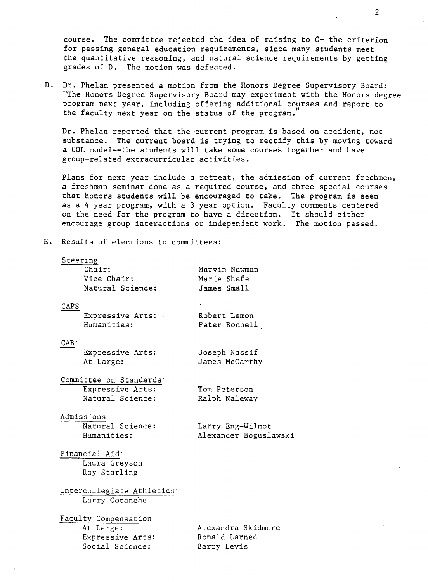course. The committee rejected the idea of raising to C- the criterion for passing general education requirements, since many students meet the quantitative reasoning, and natural science requirements by getting grades of D. The motion was defeated.

D. Dr. Phelan presented a motion from the Honors Degree Supervisory Board: "The Honors Degree Supervisory Board may experiment with the Honors degree program next year, including offering additional courses and report to the faculty next year on the status of the program.

Dr. Phelan reported that the current program is based on accident, not substance. The current board is trying to rectify this by moving toward a COL model--the students will take some courses together and have group-related extracurricular activities.

Plans for next year include a retreat, the admission of current freshmen, a freshman seminar done as a required course, and three special courses that honors students will be encouraged to take. The program is seen as a 4 year program, with a 3 year option. Faculty comments centered on the need for the program to have a direction. It should either encourage group interactions or independent work. The motion passed.

E. Results of elections to committees:

#### Steering

|      | Chair:           | Marvin Newman  |
|------|------------------|----------------|
|      | Vice Chair:      | Marie Shafe    |
|      | Natural Science: | James Small    |
| CAPS |                  |                |
|      | Expressive Arts: | Robert Lemon   |
|      | Humanities:      | Peter Bonnell  |
| CAB  |                  |                |
|      | Expressive Arts: | Joseph Nassif  |
|      | At Large:        | James McCarthy |

Committee on Standards· Expressive Arts: Natural Science:

Tom Peterson Ralph Naleway

#### Admissions

Natural Science: Humanities:

Larry Eng-Wilmot Alexander Boguslawski

Financial Aid· Laura Greyson Roy Starling

Intercollegiate Athletic:: Larry Cotanche

Faculty Compensation At Large: Expressive Arts: Social Science:

Alexandra Skidmore Ronald Larned Barry Levis